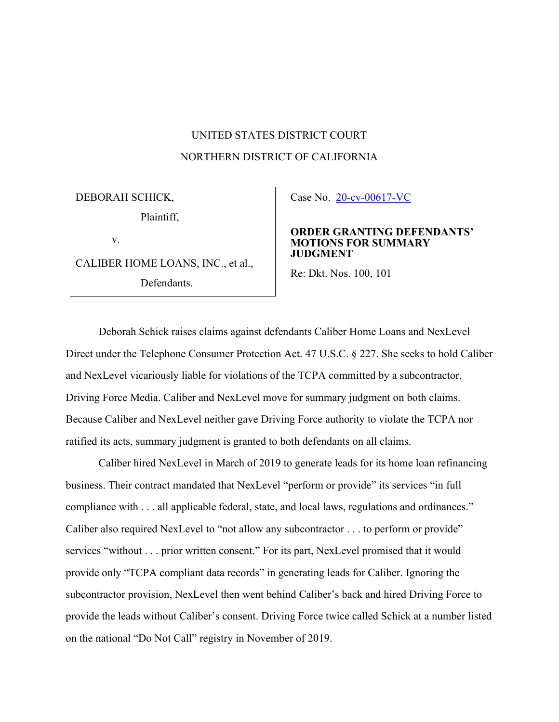## UNITED STATES DISTRICT COURT NORTHERN DISTRICT OF CALIFORNIA

DEBORAH SCHICK, Plaintiff, v.

CALIBER HOME LOANS, INC., et al., Defendants.

Case No. [20-cv-00617-VC](https://ecf.cand.uscourts.gov/cgi-bin/DktRpt.pl?354470) 

## **ORDER GRANTING DEFENDANTS' MOTIONS FOR SUMMARY JUDGMENT**

Re: Dkt. Nos. 100, 101

Deborah Schick raises claims against defendants Caliber Home Loans and NexLevel Direct under the Telephone Consumer Protection Act. 47 U.S.C. § 227. She seeks to hold Caliber and NexLevel vicariously liable for violations of the TCPA committed by a subcontractor, Driving Force Media. Caliber and NexLevel move for summary judgment on both claims. Because Caliber and NexLevel neither gave Driving Force authority to violate the TCPA nor ratified its acts, summary judgment is granted to both defendants on all claims.

Caliber hired NexLevel in March of 2019 to generate leads for its home loan refinancing business. Their contract mandated that NexLevel "perform or provide" its services "in full compliance with . . . all applicable federal, state, and local laws, regulations and ordinances." Caliber also required NexLevel to "not allow any subcontractor . . . to perform or provide" services "without . . . prior written consent." For its part, NexLevel promised that it would provide only "TCPA compliant data records" in generating leads for Caliber. Ignoring the subcontractor provision, NexLevel then went behind Caliber's back and hired Driving Force to provide the leads without Caliber's consent. Driving Force twice called Schick at a number listed on the national "Do Not Call" registry in November of 2019.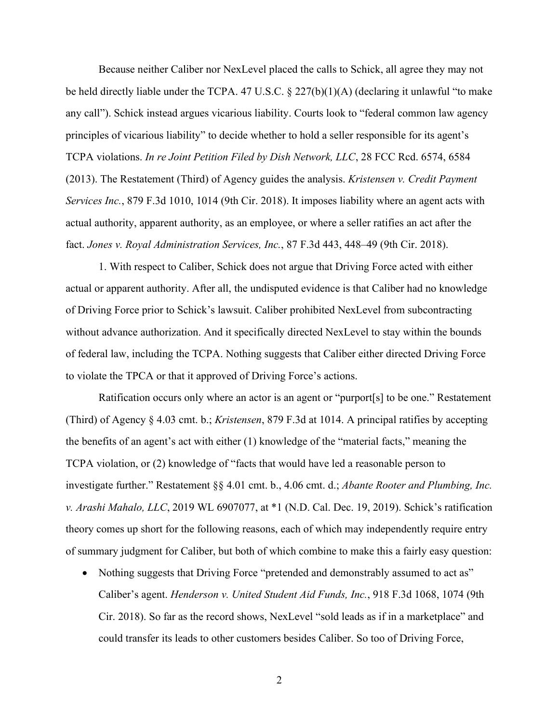Because neither Caliber nor NexLevel placed the calls to Schick, all agree they may not be held directly liable under the TCPA. 47 U.S.C. § 227(b)(1)(A) (declaring it unlawful "to make any call"). Schick instead argues vicarious liability. Courts look to "federal common law agency principles of vicarious liability" to decide whether to hold a seller responsible for its agent's TCPA violations. *In re Joint Petition Filed by Dish Network, LLC*, 28 FCC Rcd. 6574, 6584 (2013). The Restatement (Third) of Agency guides the analysis. *Kristensen v. Credit Payment Services Inc.*, 879 F.3d 1010, 1014 (9th Cir. 2018). It imposes liability where an agent acts with actual authority, apparent authority, as an employee, or where a seller ratifies an act after the fact. *Jones v. Royal Administration Services, Inc.*, 87 F.3d 443, 448–49 (9th Cir. 2018).

1. With respect to Caliber, Schick does not argue that Driving Force acted with either actual or apparent authority. After all, the undisputed evidence is that Caliber had no knowledge of Driving Force prior to Schick's lawsuit. Caliber prohibited NexLevel from subcontracting without advance authorization. And it specifically directed NexLevel to stay within the bounds of federal law, including the TCPA. Nothing suggests that Caliber either directed Driving Force to violate the TPCA or that it approved of Driving Force's actions.

Ratification occurs only where an actor is an agent or "purport[s] to be one." Restatement (Third) of Agency § 4.03 cmt. b.; *Kristensen*, 879 F.3d at 1014. A principal ratifies by accepting the benefits of an agent's act with either (1) knowledge of the "material facts," meaning the TCPA violation, or (2) knowledge of "facts that would have led a reasonable person to investigate further." Restatement §§ 4.01 cmt. b., 4.06 cmt. d.; *Abante Rooter and Plumbing, Inc. v. Arashi Mahalo, LLC*, 2019 WL 6907077, at \*1 (N.D. Cal. Dec. 19, 2019). Schick's ratification theory comes up short for the following reasons, each of which may independently require entry of summary judgment for Caliber, but both of which combine to make this a fairly easy question:

• Nothing suggests that Driving Force "pretended and demonstrably assumed to act as" Caliber's agent. *Henderson v. United Student Aid Funds, Inc.*, 918 F.3d 1068, 1074 (9th Cir. 2018). So far as the record shows, NexLevel "sold leads as if in a marketplace" and could transfer its leads to other customers besides Caliber. So too of Driving Force,

2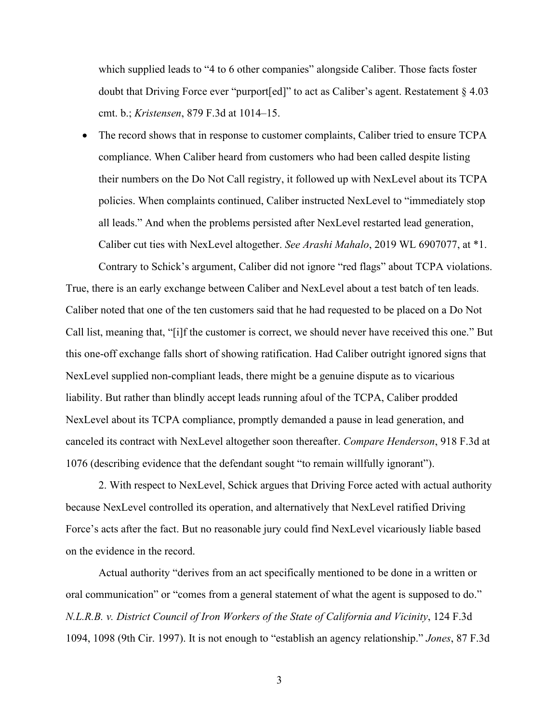which supplied leads to "4 to 6 other companies" alongside Caliber. Those facts foster doubt that Driving Force ever "purport[ed]" to act as Caliber's agent. Restatement § 4.03 cmt. b.; *Kristensen*, 879 F.3d at 1014–15.

The record shows that in response to customer complaints, Caliber tried to ensure TCPA compliance. When Caliber heard from customers who had been called despite listing their numbers on the Do Not Call registry, it followed up with NexLevel about its TCPA policies. When complaints continued, Caliber instructed NexLevel to "immediately stop all leads." And when the problems persisted after NexLevel restarted lead generation, Caliber cut ties with NexLevel altogether. *See Arashi Mahalo*, 2019 WL 6907077, at \*1.

Contrary to Schick's argument, Caliber did not ignore "red flags" about TCPA violations. True, there is an early exchange between Caliber and NexLevel about a test batch of ten leads. Caliber noted that one of the ten customers said that he had requested to be placed on a Do Not Call list, meaning that, "[i]f the customer is correct, we should never have received this one." But this one-off exchange falls short of showing ratification. Had Caliber outright ignored signs that NexLevel supplied non-compliant leads, there might be a genuine dispute as to vicarious liability. But rather than blindly accept leads running afoul of the TCPA, Caliber prodded NexLevel about its TCPA compliance, promptly demanded a pause in lead generation, and canceled its contract with NexLevel altogether soon thereafter. *Compare Henderson*, 918 F.3d at 1076 (describing evidence that the defendant sought "to remain willfully ignorant").

2. With respect to NexLevel, Schick argues that Driving Force acted with actual authority because NexLevel controlled its operation, and alternatively that NexLevel ratified Driving Force's acts after the fact. But no reasonable jury could find NexLevel vicariously liable based on the evidence in the record.

Actual authority "derives from an act specifically mentioned to be done in a written or oral communication" or "comes from a general statement of what the agent is supposed to do." *N.L.R.B. v. District Council of Iron Workers of the State of California and Vicinity*, 124 F.3d 1094, 1098 (9th Cir. 1997). It is not enough to "establish an agency relationship." *Jones*, 87 F.3d

3